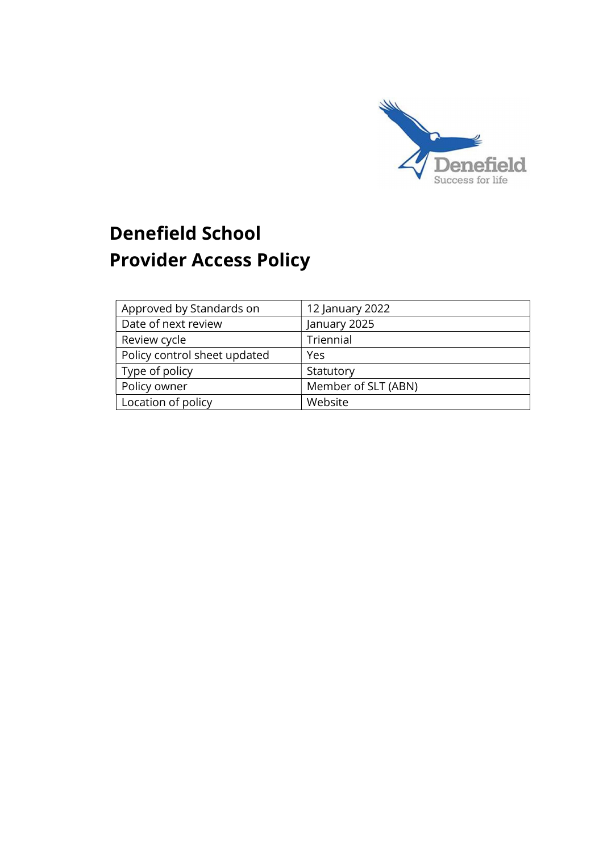

# Denefield School Provider Access Policy

| Approved by Standards on     | 12 January 2022     |
|------------------------------|---------------------|
| Date of next review          | January 2025        |
| Review cycle                 | Triennial           |
| Policy control sheet updated | Yes                 |
| Type of policy               | Statutory           |
| Policy owner                 | Member of SLT (ABN) |
| Location of policy           | Website             |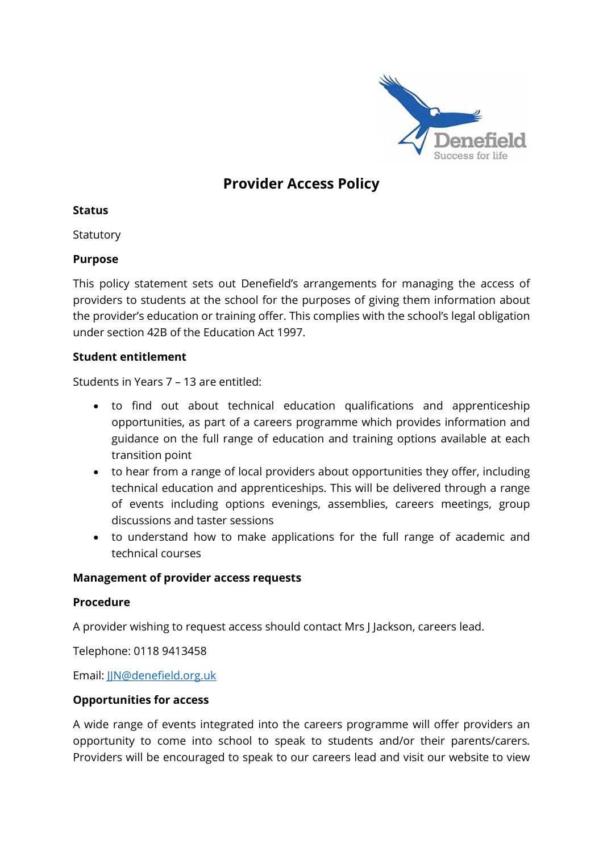

# Provider Access Policy

#### Status

**Statutory** 

#### Purpose

This policy statement sets out Denefield's arrangements for managing the access of providers to students at the school for the purposes of giving them information about the provider's education or training offer. This complies with the school's legal obligation under section 42B of the Education Act 1997.

#### Student entitlement

Students in Years 7 – 13 are entitled:

- to find out about technical education qualifications and apprenticeship opportunities, as part of a careers programme which provides information and guidance on the full range of education and training options available at each transition point
- to hear from a range of local providers about opportunities they offer, including technical education and apprenticeships. This will be delivered through a range of events including options evenings, assemblies, careers meetings, group discussions and taster sessions
- to understand how to make applications for the full range of academic and technical courses

#### Management of provider access requests

#### Procedure

A provider wishing to request access should contact Mrs J Jackson, careers lead.

Telephone: 0118 9413458

Email: JJN@denefield.org.uk

#### Opportunities for access

A wide range of events integrated into the careers programme will offer providers an opportunity to come into school to speak to students and/or their parents/carers. Providers will be encouraged to speak to our careers lead and visit our website to view